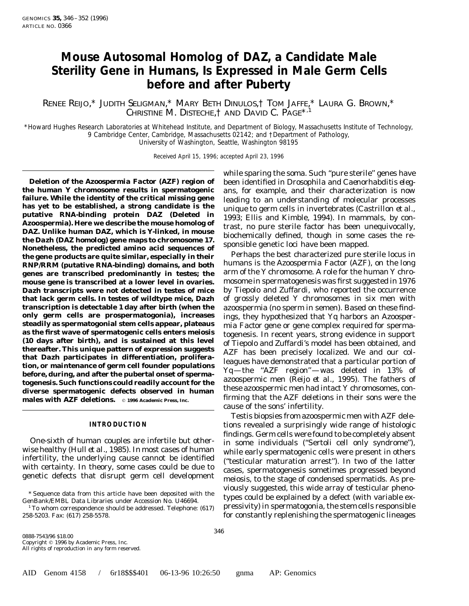# **Mouse Autosomal Homolog of** *DAZ,* **a Candidate Male Sterility Gene in Humans, Is Expressed in Male Germ Cells before and after Puberty**

RENEE REIJO,\* JUDITH SELIGMAN,\* MARY BETH DINULOS,† TOM JAFFE,\* LAURA G. BROWN,\* CHRISTINE M. DISTECHE, † AND DAVID C. PAGE<sup>\*,1</sup>

\**Howard Hughes Research Laboratories at Whitehead Institute, and Department of Biology, Massachusetts Institute of Technology, 9 Cambridge Center, Cambridge, Massachusetts 02142; and* †*Department of Pathology, University of Washington, Seattle, Washington 98195*

Received April 15, 1996; accepted April 23, 1996

**the human Y chromosome results in spermatogenic** *ans,* for example, and their characterization is now Failure. While the identity of the critical missing gene<br>has yet to be established, a strong candidate is the<br>putative RNA-binding protein DAZ (Deleted in<br>putative RNA-binding protein DAZ (Deleted in<br>Azoospermia). Here we Nonetheless, the predicted amino acid sequences of sponsible genetic foct have been inapped.<br>the gene products are quite similar, especially in their Perhaps the best characterized pure sterile locus in **RNP/RRM (putative RNA-binding) domains, and both** humans is the *Azoospermia Factor* (*AZF*), on the long genes are transcribed predominantly in testes; the **mouse gene is transcribed at a lower level in ovaries.** mosome in spermatogenesis was first suggested in 1976 *Dazh* **transcripts were not detected in testes of mice** by Tiepolo and Zuffardi, who reported the occurrence **that lack germ cells. In testes of wildtype mice,** *Dazh* of grossly deleted Y chromosomes in six men with **transcription is detectable 1 day after birth (when the** azoospermia (no sperm in semen). Based on these findonly germ cells are prospermatogonia), increases ings, they hypothesized that Yq harbors an *Azoosper*-<br>steadily as spermatogonial stem cells appear, plateaus *mia Factor* gene or gene complex required for sperma-<br>as the diverse spermatogenic defects observed in human<br>males with *AZF* deletions.  $\circ$  1996 Academic Press, Inc.<br>firming that the *AZF* deletions in their sons were the

258-5203. Fax: (617) 258-5578. for constantly replenishing the spermatogenic lineages

while sparing the soma. Such ''pure sterile'' genes have **Deletion of the** *Azoospermia Factor* **(***AZF***) region of** been identified in *Drosophila* and *Caenorhabditis eleg-*

cause of the sons' infertility.

Testis biopsies from azoospermic men with *AZF* dele-**INTRODUCTION** tions revealed a surprisingly wide range of histologic One-sixth of human couples are infertile but other<br>wise healthy (Hull *et al.*, 1985). In most cases of human<br>infertility, the underlying cause cannot be identified<br>with certainty. In theory, some cases could be due to<br>gen \* Sequence data from this article have been deposited with the<br>GenBank/EMBL Data Libraries under Accession No. U46694. Comband by a defect (with variable ex-<sup>1</sup>To whom correspondence should be addressed. Telephone: (617) pressivity) in spermatogonia, the stem cells responsible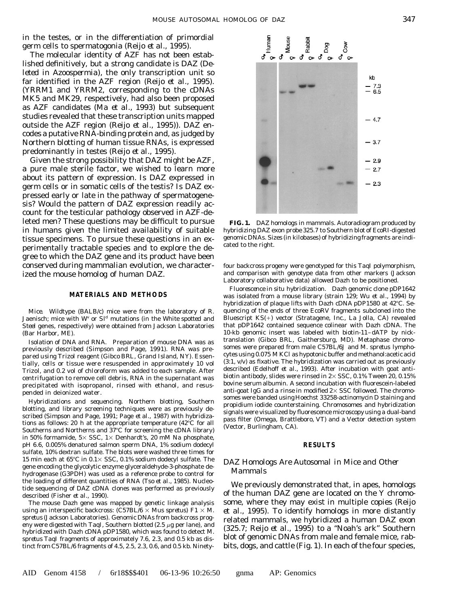in the testes, or in the differentiation of primordial germ cells to spermatogonia (Reijo *et al.,* 1995).

The molecular identity of *AZF* has not been established definitively, but a strong candidate is *DAZ* (*Deleted in Azoospermia*), the only transcription unit so far identified in the *AZF* region (Reijo *et al.,* 1995). (*YRRM1* and *YRRM2,* corresponding to the cDNAs MK5 and MK29, respectively, had also been proposed as *AZF* candidates (Ma *et al.,* 1993) but subsequent studies revealed that these transcription units mapped outside the *AZF* region (Reijo *et al.,* 1995)). *DAZ* encodes a putative RNA-binding protein and, as judged by Northern blotting of human tissue RNAs, is expressed predominantly in testes (Reijo *et al.,* 1995).

Given the strong possibility that *DAZ* might be *AZF,* a pure male sterile factor, we wished to learn more about its pattern of expression. Is *DAZ* expressed in germ cells or in somatic cells of the testis? Is *DAZ* expressed early or late in the pathway of spermatogenesis? Would the pattern of *DAZ* expression readily account for the testicular pathology observed in *AZF*-deleted men? These questions may be difficult to pursue **FIG. 1.** *DAZ* homologs in mammals. Autoradiogram produced by tissue specimens. To pursue these questions in an ex-<br>perimentally tractable species and to explore the de-<br>discussion the right. gree to which the *DAZ* gene and its product have been conserved during mammalian evolution, we character- four backcross progeny were genotyped for this *Taq*I polymorphism, ized the mouse homolog of human *DAZ*. and comparison with genotype data from other markers (Jackson

*Steel* genes, respectively) were obtained from Jackson Laboratories

in 50% formamide,  $5 \times SSC$ ,  $1 \times Denhardt's$ , 20 m*M* Na phosphate, pH 6.6, 0.005% denatured salmon sperm DNA, 1% sodium dodecyl **RESULTS** sulfate, 10% dextran sulfate. The blots were washed three times for 15 min each at  $65^{\circ}$ C in  $0.1 \times$  SSC, 0.1% sodium dodecyl sulfate. The DAZ Homologs Are Autosomal in Mice and Other gene encoding the glycolytic enzyme glyceraldehyde-3-phosphate de-<br>hydrogenase (*G3PDH*) was used as a the loading of different quantities of RNA (Tso *et al.*, 1985). Nucleo-<br>tide sequencing of *DAZ* cDNA clones was performed as previously<br>of the human *DAZ* gene are located on the Y chromo-<br>described (Fisher *et al.*, 19

using an interspecific backcross: (C57BL/6  $\times$  *Mus spretus*) F1  $\times$  *M. et al.,* 1995). To identify homologs in more distantly spretus (Jackson Laboratories). Genomic DNAs from backcross prog-<br>related mammals, we hyb spretus (Jackson Laboratories). Genomic DNAs from backcross prog-<br>eng were digested with *Taq*I, Southern blotted (2.5 µg per lane), and<br>hybridized with *Dazh* cDNA pDP1580, which was found to detect M. (325.7; Reijo *et a* tinct from C57BL/6 fragments of 4.5, 2.5, 2.3, 0.6, and 0.5 kb. Ninety- bits, dogs, and cattle (Fig. 1). In each of the four species,



Rabbit

 $0 + 0^8 + 0^8$ 

 $o + d$ 

woc

 $d_{\alpha}$ 

kh  $7.3$  $=$  6.5

in humans given the limited availability of suitable hybridizing *DAZ* exon probe 325.7 to Southern blot of *Eco*RI-digested

Laboratory collaborative data) allowed *Dazh* to be positioned.

*Fluorescence in situ hybridization. Dazh* genomic clone pDP1642 **MATERIALS AND METHODS** was isolated from a mouse library (strain 129; Wu *et al.,* 1994) by hybridization of plaque lifts with *Dazh* cDNA pDP1580 at 42°C. Sequencing of the ends of three *Eco*RV fragments subcloned into the *Mice.* Wildtype (BALB/c) mice were from the laboratory of R. quencing of the ends of three *Eco*RV fragments subcloned into the<br>tenisch; mice with W or SI<sup>d</sup> mutations (in the Wh*ite spotted* and Bluescript KS(+) vector ( Jaenisch; mice with *W*<sup>*v*</sup> or *Sl<sup>d</sup>* mutations (in the *White spotted* and Bluescript KS(+) vector (Stratagene, Inc., La Jolla, CA) revealed *Steel* genes, respectively) were obtained from Jackson Laboratories that pDP1 (Bar Harbor, ME). 10-kb genomic insert was labeled with biotin-11–dATP by nick-*Isolation of DNA and RNA.* Preparation of mouse DNA was as<br>previously described (Simpson and Page, 1991). RNA was previously assumes were prepared from male C57BL/6J and *M. spretus* lympho-<br>pared using Trizol reagent (G Trizol, and 0.2 vol of chloroform was added to each sample. After described (Edelhott *et al., 1993)*. After incubation with goat anti-<br>centrifugation to remove cell debris, RNA in the supernatant was biotin antibody, sli precipitated with isopropanol, rinsed with ethanol, and resus-<br>pended in deionized water.<br>Hybridizations and sequencing. Northern blotting, Southern somes were banded using Hoechst 33258-actinomycin D staining and<br>hybridi

The mouse *Dazh* gene was mapped by genetic linkage analysis some, where they may exist in multiple copies (Reijo blot of genomic DNAs from male and female mice, rab-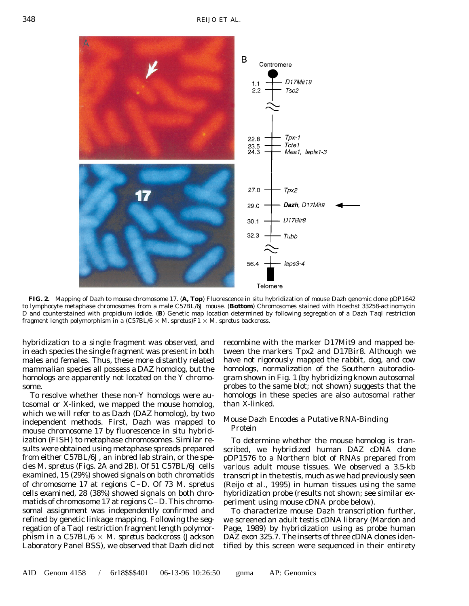

**FIG. 2.** Mapping of *Dazh* to mouse chromosome 17. (**A, Top**) Fluorescence *in situ* hybridization of mouse *Dazh* genomic clone pDP1642 to lymphocyte metaphase chromosomes from a male C57BL/6J mouse. (**Bottom**) Chromosomes stained with Hoechst 33258-actinomycin D and counterstained with propidium iodide. (**B**) Genetic map location determined by following segregation of a *Dazh Taq*I restriction fragment length polymorphism in a  $(C57BL/6 \times M.$  spretus)F1  $\times$  *M. spretus* backcross.

hybridization to a single fragment was observed, and recombine with the marker *D17Mit9* and mapped bein each species the single fragment was present in both tween the markers *Tpx2* and *D17Bir8.* Although we males and females. Thus, these more distantly related have not rigorously mapped the rabbit, dog, and cow mammalian species all possess a *DAZ* homolog, but the homologs, normalization of the Southern autoradiohomologs are apparently not located on the Y chromo- gram shown in Fig. 1 (by hybridizing known autosomal some. **probes to the same blot; not shown**) suggests that the

tosomal or X-linked, we mapped the mouse homolog, than X-linked. which we will refer to as *Dazh* (*DAZ homolog*), by two<br>independent methods. First, *Dazh* was mapped to *Mouse Dazh Encodes a Putative RNA-Binding*<br>mouse chromosome 17 by fluorescence in situ bybrid *Protein* mouse chromosome 17 by fluorescence *in situ* hybridization (FISH) to metaphase chromosomes. Similar re-<br>To determine whether the mouse homolog is transults were obtained using metaphase spreads prepared scribed, we hybridized human *DAZ* cDNA clone from either C57BL/6J, an inbred lab strain, or the spe-<br>cies *M. spretus* (Figs. 2A and 2B). Of 51 C57BL/6J cells various adult mouse tissues. We observed a 3.5-kb examined, 15 (29%) showed signals on both chromatids transcript in the testis, much as we had previously seen of chromosome 17 at regions C–D. Of 73 *M. spretus* (Reijo *et al.,* 1995) in human tissues using the same cells examined, 28 (38%) showed signals on both chro- hybridization probe (results not shown; see similar exmatids of chromosome 17 at regions C–D. This chromo- periment using mouse cDNA probe below). somal assignment was independently confirmed and To characterize mouse *Dazh* transcription further, refined by genetic linkage mapping. Following the seg- we screened an adult testis cDNA library (Mardon and regation of a *Taq*I restriction fragment length polymor- Page, 1989) by hybridization using as probe human phism in a C57BL/6  $\times$  *M. spretus* backcross (Jackson *DAZ* exon 325.7. The inserts of three cDNA clones iden-

To resolve whether these non-Y homologs were au- homologs in these species are also autosomal rather

various adult mouse tissues. We observed a 3.5-kb

Laboratory Panel BSS), we observed that *Dazh* did not tified by this screen were sequenced in their entirety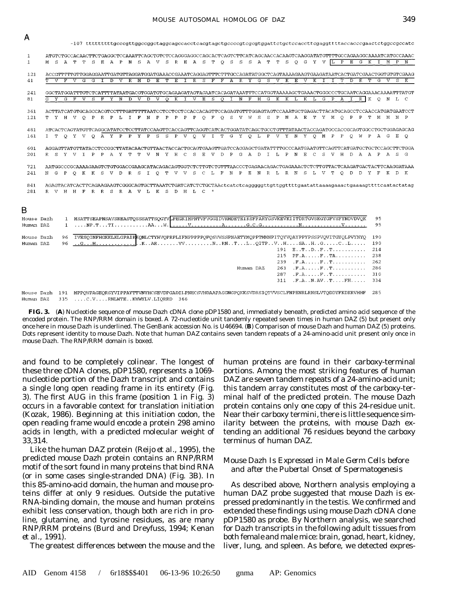## MOUSE AUTOSOMAL HOMOLOG OF *DAZ* 349

| n                                                                                                              |                                                                                                                        |    |  |  |                                |  |  |  |  |  |  |           |  |  |  |  |  |                                                                                                   |                                                                           |     | -107 tttttttttgcccgttggccggctaggcagccacctcacgtagctgccccgtcgcgtggattctgctccaccttcgaggttttaccacccgaactctggccgccatc         |                         |
|----------------------------------------------------------------------------------------------------------------|------------------------------------------------------------------------------------------------------------------------|----|--|--|--------------------------------|--|--|--|--|--|--|-----------|--|--|--|--|--|---------------------------------------------------------------------------------------------------|---------------------------------------------------------------------------|-----|--------------------------------------------------------------------------------------------------------------------------|-------------------------|
| $\mathbf{1}$                                                                                                   |                                                                                                                        |    |  |  |                                |  |  |  |  |  |  |           |  |  |  |  |  |                                                                                                   |                                                                           |     | ATGTCTGCCACAACTTCTGAGGCTCCAAATTCAGCTGTCTCCAGGGAGGCCAGCACTCAGTCTTCATCAGCAACCACAAGTCAAGGATATGTTTTGCCAGAAGGCAAAATCATGCCAAAC |                         |
| $\mathbf{1}$                                                                                                   | M S A T T S E A P N S A V S R E A S T O S S S A T T S O G Y V <mark>L P E G K I M P</mark>                             |    |  |  |                                |  |  |  |  |  |  |           |  |  |  |  |  |                                                                                                   |                                                                           |     |                                                                                                                          | $\overline{\mathbb{N}}$ |
| 121                                                                                                            |                                                                                                                        |    |  |  |                                |  |  |  |  |  |  |           |  |  |  |  |  |                                                                                                   |                                                                           |     | ACCGTTTTTGTTGGAGGAATTGATGTTAGGATGGATGAAACCGAAATCAGGAGTTTCTTTGCCAGATATGGCTCAGTAAAAGAAGTGAAGATAATCACTGATCGAACTGGTGTGTCGAAG |                         |
| 41                                                                                                             |                                                                                                                        |    |  |  |                                |  |  |  |  |  |  |           |  |  |  |  |  |                                                                                                   | V F V G G I D V R M D E T E I R S F F A R Y G S V K E V K I I T D R T G V |     | $S$ K                                                                                                                    |                         |
| 241                                                                                                            |                                                                                                                        |    |  |  |                                |  |  |  |  |  |  |           |  |  |  |  |  |                                                                                                   |                                                                           |     | GGCTATGGATTTGTCTCATTTTATAATGACGTGGATGTGCAGAAGATAGTAGAATCACAGATAAATTTCCATGGTAAAAAGCTGAAACTGGGCCCTGCAATCAGGAAACAAAATTTATGT |                         |
| 81                                                                                                             | G Y G F V S F Y N D V D V Q K I V E S O I N F H G K K L K L G P A I                                                    |    |  |  |                                |  |  |  |  |  |  |           |  |  |  |  |  |                                                                                                   |                                                                           |     | RK ONL C                                                                                                                 |                         |
| 361                                                                                                            |                                                                                                                        |    |  |  |                                |  |  |  |  |  |  |           |  |  |  |  |  |                                                                                                   |                                                                           |     | ACTTATCATGTGCAGCCACGTCCTTTGATTTTTAATCCTCCTCCTCCACCACAGTTCCAGAGTGTTTGGAGTAGTCCAAATGCTGAGACTTACATGCAGCCTCCAACCATGATGAATCCT |                         |
| 121                                                                                                            |                                                                                                                        |    |  |  |                                |  |  |  |  |  |  |           |  |  |  |  |  |                                                                                                   |                                                                           |     | T Y H V O P R P L I F N P P P P P O F O S V W S S P N A E T Y M O P P T M M N P                                          |                         |
| 481                                                                                                            |                                                                                                                        |    |  |  |                                |  |  |  |  |  |  |           |  |  |  |  |  |                                                                                                   |                                                                           |     | ATCACTCAGTATGTTCAGGCATATCCTCCTTATCCAAGTTCACCAGTTCAGGTCATCACTGGATATCAGCTGCTGTTTATAACTACCAGATGCCACCGCAGTGGCCTGGAGAGCAG     |                         |
| 161                                                                                                            |                                                                                                                        |    |  |  |                                |  |  |  |  |  |  |           |  |  |  |  |  |                                                                                                   |                                                                           |     | I T O Y V O A Y P P Y P S S P V O V I T G Y O L P V Y N Y O M P P O W P A G E O                                          |                         |
| 601                                                                                                            |                                                                                                                        |    |  |  |                                |  |  |  |  |  |  |           |  |  |  |  |  |                                                                                                   |                                                                           |     | AGGAGTTATGTTATACCTCCGGCTTATACAACTGTTAACTACCACTGCAGTGAAGTTGATCCAGGAGCTGATATTTTGCCCAATGATGTTCAGTTCATGATGCTGCTCCAGCTTCTGGA  |                         |
| 201                                                                                                            |                                                                                                                        |    |  |  |                                |  |  |  |  |  |  |           |  |  |  |  |  |                                                                                                   |                                                                           |     | R S Y V I P P A Y T T V N Y H C S E V D P G A D I L P N E C S V H D A A P A S G                                          |                         |
| 721                                                                                                            |                                                                                                                        |    |  |  |                                |  |  |  |  |  |  |           |  |  |  |  |  |                                                                                                   |                                                                           |     |                                                                                                                          |                         |
| 241                                                                                                            |                                                                                                                        |    |  |  |                                |  |  |  |  |  |  |           |  |  |  |  |  |                                                                                                   |                                                                           |     | N G P Q K K S V D R S I Q T V V S C L F N P E N R L R N S L V T O D D Y F K D K                                          |                         |
| 841                                                                                                            | AGAGTACATCACTTCAGAAGAAGTCGGGCAGTGCTTAAATCTGATCATCTCGCTAActcatctcagggggttgttggtttgaatattaaaagaaactgaaaagttttcaatactatag |    |  |  |                                |  |  |  |  |  |  |           |  |  |  |  |  |                                                                                                   |                                                                           |     |                                                                                                                          |                         |
| 281                                                                                                            | R V H H F R R S R A V L K S D H L C *                                                                                  |    |  |  |                                |  |  |  |  |  |  |           |  |  |  |  |  |                                                                                                   |                                                                           |     |                                                                                                                          |                         |
| B                                                                                                              |                                                                                                                        |    |  |  |                                |  |  |  |  |  |  |           |  |  |  |  |  |                                                                                                   |                                                                           |     |                                                                                                                          |                         |
| Mouse Dazh                                                                                                     |                                                                                                                        |    |  |  |                                |  |  |  |  |  |  |           |  |  |  |  |  | 1 MSATTSEAPNSAVSREASTOSSSATTSOGYVLPEGKIMPNTVFVGGIDVRMDETEIRSFFARYGSVKEVKIITDRTGVSKGYGFVSFYNDVDVOK |                                                                           | 95  |                                                                                                                          |                         |
| Human DAZ                                                                                                      |                                                                                                                        |    |  |  |                                |  |  |  |  |  |  |           |  |  |  |  |  |                                                                                                   |                                                                           | 95  |                                                                                                                          |                         |
| Mouse Dazh                                                                                                     |                                                                                                                        | 96 |  |  |                                |  |  |  |  |  |  |           |  |  |  |  |  | IVESOINFHGKKLKLGPAIRKONLCTYHVOPRPLIFNPPPPPOFOSVWSSPNAETYMOPPTMMNPITOYVOAYPPYPSSPVOVITGYOLPVYNYO   |                                                                           | 190 |                                                                                                                          |                         |
| Human DAZ                                                                                                      |                                                                                                                        |    |  |  |                                |  |  |  |  |  |  |           |  |  |  |  |  |                                                                                                   |                                                                           | 190 |                                                                                                                          |                         |
|                                                                                                                |                                                                                                                        |    |  |  |                                |  |  |  |  |  |  |           |  |  |  |  |  | $191$ E., $T$ ., $D$ ., $F$ ., $T$ ., ., ., ., ., .,                                              |                                                                           | 214 |                                                                                                                          |                         |
|                                                                                                                |                                                                                                                        |    |  |  |                                |  |  |  |  |  |  |           |  |  |  |  |  | $215$ PF.AF.TA                                                                                    |                                                                           | 238 |                                                                                                                          |                         |
|                                                                                                                |                                                                                                                        |    |  |  |                                |  |  |  |  |  |  |           |  |  |  |  |  |                                                                                                   |                                                                           | 262 |                                                                                                                          |                         |
|                                                                                                                |                                                                                                                        |    |  |  |                                |  |  |  |  |  |  | Human DAZ |  |  |  |  |  | $263$ . F.A F. T                                                                                  |                                                                           | 286 |                                                                                                                          |                         |
|                                                                                                                |                                                                                                                        |    |  |  |                                |  |  |  |  |  |  |           |  |  |  |  |  | $287 \t F.R. \t F.R. \t F.I.T. \t  \t . \t . \t . \t . \t . \t .$                                 |                                                                           | 310 |                                                                                                                          |                         |
|                                                                                                                |                                                                                                                        |    |  |  |                                |  |  |  |  |  |  |           |  |  |  |  |  | $311 \t F.A. \t N.AV. \t T. \t F.H. \t $                                                          |                                                                           | 334 |                                                                                                                          |                         |
| Mouse Dazh 191 MPPOWPAGEORSYVIPPAYTTVNYHCSEVDPGADILPNECSVHDAAPASGNGPOKKSVDRSIOTVVSCLFNPENRLRNSLVTODDYFKDKRVHHF |                                                                                                                        |    |  |  |                                |  |  |  |  |  |  |           |  |  |  |  |  |                                                                                                   |                                                                           | 285 |                                                                                                                          |                         |
| Human DAZ                                                                                                      |                                                                                                                        |    |  |  | 335 C.VRNLWTEKWWYLV.LIORRD 366 |  |  |  |  |  |  |           |  |  |  |  |  |                                                                                                   |                                                                           |     |                                                                                                                          |                         |

**FIG. 3.** (**A**) Nucleotide sequence of mouse *Dazh* cDNA clone pDP1580 and, immediately beneath, predicted amino acid sequence of the encoded protein. The RNP/RRM domain is boxed. A 72-nucleotide unit tandemly repeated seven times in human *DAZ* (5) but present only once here in mouse *Dazh* is underlined. The GenBank accession No. is U46694. (**B**) Comparison of mouse Dazh and human DAZ (5) proteins. Dots represent identity to mouse Dazh. Note that human DAZ contains seven tandem repeats of a 24-amino-acid unit present only once in mouse Dazh. The RNP/RRM domain is boxed.

and found to be completely colinear. The longest of human proteins are found in their carboxy-terminal nucleotide portion of the *Dazh* transcript and contains DAZ are seven tandem repeats of a 24-amino-acid unit; a single long open reading frame in its entirety (Fig. this tandem array constitutes most of the carboxy-teroccurs in a favorable context for translation initiation protein contains only one copy of this 24-residue unit. (Kozak, 1986). Beginning at this initiation codon, the Near their carboxy termini, there is little sequence simopen reading frame would encode a protein 298 amino ilarity between the proteins, with mouse Dazh exacids in length, with a predicted molecular weight of tending an additional 76 residues beyond the carboxy 33,314. terminus of human DAZ.

 $\Delta$ 

Like the human DAZ protein (Reijo *et al.,* 1995), the predicted mouse Dazh protein contains an RNP/RRM<br>motif of the sort found in many proteins that bind RNA<br>ouse Dazh Is Expressed in Male Germ Cells before<br>or in some cases single-stranded DNA) (Fig. 3B). In this 85-amino-acid domain, the human and mouse pro- As described above, Northern analysis employing a teins differ at only 9 residues. Outside the putative human *DAZ* probe suggested that mouse *Dazh* is ex-RNA-binding domain, the mouse and human proteins pressed predominantly in the testis. We confirmed and exhibit less conservation, though both are rich in pro- extended these findings using mouse *Dazh* cDNA clone line, glutamine, and tyrosine residues, as are many pDP1580 as probe. By Northern analysis, we searched RNP/RRM proteins (Burd and Dreyfuss, 1994; Kenan for *Dazh* transcripts in the following adult tissues from *et al.,* 1991). both female and male mice: brain, gonad, heart, kidney,

these three cDNA clones, pDP1580, represents a 1069- portions. Among the most striking features of human 3). The first AUG in this frame (position 1 in Fig. 3) minal half of the predicted protein. The mouse Dazh

The greatest differences between the mouse and the liver, lung, and spleen. As before, we detected expres-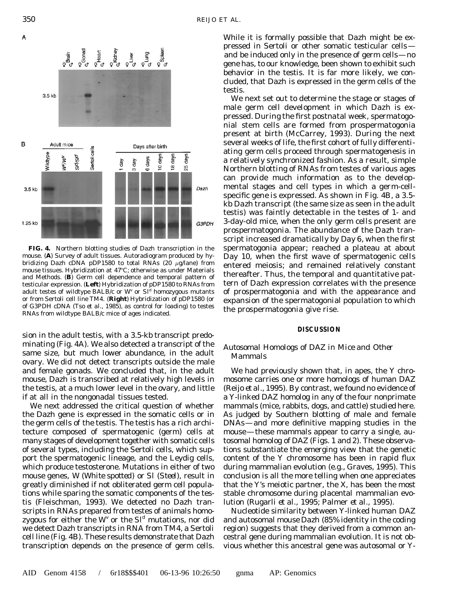

mouse. (A) Survey of adult tissues. Autoradiogram produced by hy-<br>bridizing *Dazh* cDNA pDP1580 to total RNAs (20  $\mu$ g/lane) from<br>mouse tissues. Hybridization at 47°C; otherwise as under Materials<br>and Methods. (B) Germ c testicular expression. (Left) Hybridization of pDP1580 to RNAs from adult testes of wildtype BALB/c or *W*<sup>*v*</sup> or *SP*<sup>*i*</sup> homozygous mutants of prospermatogonia and with the appearance and or from Sertoli cell line TM4. (Right) Hybridization of pDP1580 (or expansion of the spermatogonia or from Sertoli cell line TM4. (Right) Hybridization of pDP1580 (or expansion of the spermatogonial population to which<br>of *G3PDH* cDNA (Tso *et al.,* 1985), as control for loading) to testes the prospermatogonia give rise

sion in the adult testis, with a 3.5-kb transcript predominating (Fig. 4A). We also detected a transcript of the *Autosomal Homologs of DAZ in Mice and Other* same size, but much lower abundance, in the adult ovary. We did not detect transcripts outside the male if at all in the nongonadal tissues tested. a Y-linked *DAZ* homolog in any of the four nonprimate

tis (Fleischman, 1993). We detected no *Dazh* tran- lution (Rugarli *et al.,* 1995; Palmer *et al.,* 1995). scripts in RNAs prepared from testes of animals homo- Nucleotide similarity between Y-linked human *DAZ*

While it is formally possible that *Dazh* might be expressed in Sertoli or other somatic testicular cells and be induced only in the presence of germ cells—no gene has, to our knowledge, been shown to exhibit such behavior in the testis. It is far more likely, we concluded, that *Dazh* is expressed in the germ cells of the testis.

We next set out to determine the stage or stages of male germ cell development in which *Dazh* is expressed. During the first postnatal week, spermatogonial stem cells are formed from prospermatogonia present at birth (McCarrey, 1993). During the next several weeks of life, the first cohort of fully differentiating germ cells proceed through spermatogenesis in a relatively synchronized fashion. As a result, simple Northern blotting of RNAs from testes of various ages can provide much information as to the developmental stages and cell types in which a germ-cellspecific gene is expressed. As shown in Fig. 4B, a 3.5 kb *Dazh* transcript (the same size as seen in the adult testis) was faintly detectable in the testes of 1- and 3-day-old mice, when the only germ cells present are prospermatogonia. The abundance of the *Dazh* transcript increased dramatically by Day 6, when the first **FIG. 4.** Northern blotting studies of *Dazh* transcription in the spermatogonia appear; reached a plateau at about

## **DISCUSSION**

and female gonads. We concluded that, in the adult We had previously shown that, in apes, the Y chromouse, *Dazh* is transcribed at relatively high levels in mosome carries one or more homologs of human *DAZ* the testis, at a much lower level in the ovary, and little (Reijo *et al.,* 1995). By contrast, we found no evidence of We next addressed the critical question of whether mammals (mice, rabbits, dogs, and cattle) studied here. the *Dazh* gene is expressed in the somatic cells or in As judged by Southern blotting of male and female the germ cells of the testis. The testis has a rich archi- DNAs—and more definitive mapping studies in the tecture composed of spermatogenic (germ) cells at mouse—these mammals appear to carry a single, aumany stages of development together with somatic cells tosomal homolog of *DAZ* (Figs. 1 and 2). These observaof several types, including the Sertoli cells, which sup- tions substantiate the emerging view that the genetic port the spermatogenic lineage, and the Leydig cells, content of the Y chromosome has been in rapid flux which produce testosterone. Mutations in either of two during mammalian evolution (e.g., Graves, 1995). This mouse genes, *W* (*White spotted*) or *Sl* (*Steel*), result in conclusion is all the more telling when one appreciates greatly diminished if not obliterated germ cell popula- that the Y's meiotic partner, the X, has been the most tions while sparing the somatic components of the tes- stable chromosome during placental mammalian evo-

zygous for either the W' or the  $S^{d'}$  mutations, nor did and autosomal mouse *Dazh* (85% identity in the coding we detect *Dazh* transcripts in RNA from TM4, a Sertoli region) suggests that they derived from a common ancell line (Fig. 4B). These results demonstrate that *Dazh* cestral gene during mammalian evolution. It is not obtranscription depends on the presence of germ cells. vious whether this ancestral gene was autosomal or Y-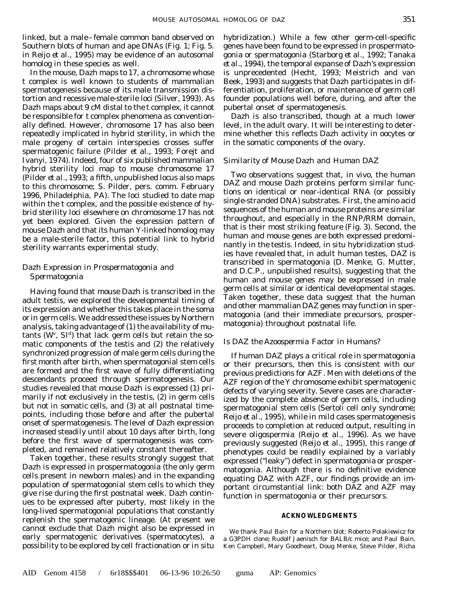*t* complex is well known to students of mammalian Beek, 1993) and suggests that *Dazh* participates in difspermatogenesis because of its male transmission dis- ferentiation, proliferation, or maintenance of germ cell tortion and recessive male-sterile loci (Silver, 1993). As founder populations well before, during, and after the *Dazh* maps about 9 cM distal to the *t* complex, it cannot pubertal onset of spermatogenesis. be responsible for *t* complex phenomena as convention- *Dazh* is also transcribed, though at a much lower ally defined. However, chromosome 17 has also been level, in the adult ovary. It will be interesting to deterrepeatedly implicated in hybrid sterility, in which the mine whether this reflects *Dazh* activity in oocytes or male progeny of certain interspecies crosses suffer in the somatic components of the ovary. spermatogenic failure (Pilder *et al.,* 1993; Forejt and Ivanyi, 1974). Indeed, four of six published mammalian *Similarity of Mouse Dazh and Human DAZ* hybrid sterility loci map to mouse chromosome 17<br>
(Pilder *et al.*, 1993; a fifth, unpublished locus also maps<br>
to this chromosome; S. Pilder, pers. comm. February<br>
1996, Philadelphia, PA). The loci studied to date map<br>
wi

Having found that mouse *Dazh* is transcribed in the germ cells at similar or identical developmental stages.<br>
adult testis, we explored the developmental timing of Taken together, these data suggest that the human<br>
its e tants  $(W, S^d)$  that lack germ cells but retain the somatic components of the testis and (2) the relatively *Is DAZ the Azoospermia Factor in Humans?* synchronized progression of male germ cells during the<br>first month after birth, when spermatogonial stem cells<br>are formed and the first wave of fully differentiating<br>descendants proceed through spermatogenesis. Our  $\frac{\text{$ 

long-lived spermatogonial populations that constantly **ACKNOWLEDGMENTS** replenish the spermatogenic lineage. (At present we cannot exclude that *Dazh* might also be expressed in<br>early spermatogenic derivatives (spermatocytes), a  $\frac{1}{a}$  G3PDH clone: Rudolf Jaenisch for BALB/c mice: and Paul Bain. possibility to be explored by cell fractionation or *in situ* Ken Campbell, Mary Goodheart, Doug Menke, Steve Pilder, Richa

linked, but a male–female common band observed on hybridization.) While a few other germ-cell-specific Southern blots of human and ape DNAs (Fig. 1; Fig. 5. genes have been found to be expressed in prospermatoin Reijo *et al.,* 1995) may be evidence of an autosomal gonia or spermatogonia (Starborg *et al.,* 1992; Tanaka homolog in these species as well. *et al.,* 1994), the temporal expanse of *Dazh*'s expression In the mouse, *Dazh* maps to 17, a chromosome whose is unprecedented (Hecht, 1993; Meistrich and van

yet been explored. Given the expression pattern of<br>moughout, and especially in the KNP/KKM domain,<br>mouse Dazh and that its human Y-linked homolog may<br>be a male-sterile factor, this potential link to hybrid<br>human and mouse transcribed in spermatogonia (D. Menke, G. Mutter, *Dazh Expression in Prospermatogonia and* and D.C.P., unpublished results), suggesting that the *Spermatogonia* human and mouse genes may be expressed in male

descendants proceed through spermatogenesis. Our  $^*AZF$  region of the Y chromosome exhibit spermatogenic studies revealed that mouse *Dazh* is expressed (1) pri-<br>emarily if not exclusively in the testiss, (2) in germ cell